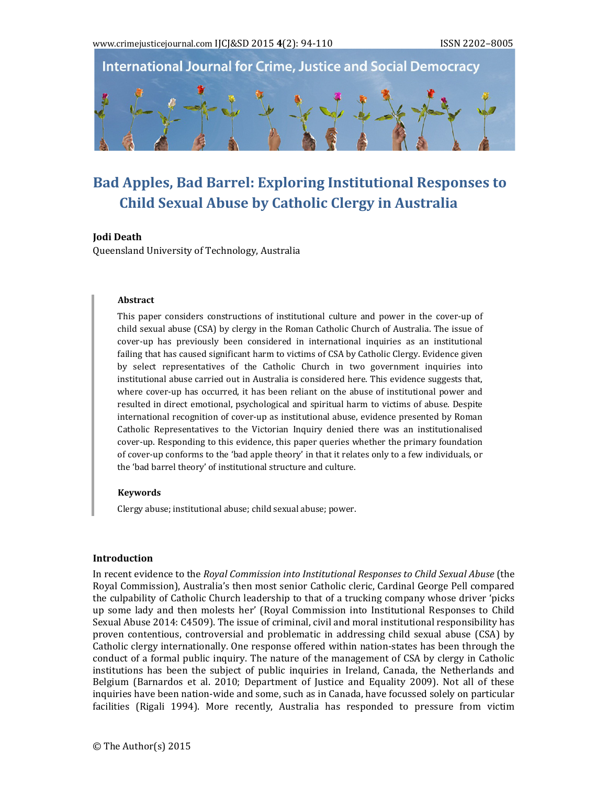



# **Bad Apples, Bad Barrel: Exploring Institutional Responses to Child Sexual Abuse by Catholic Clergy in Australia**

#### **Jodi Death**

Queensland University of Technology, Australia

#### **Abstract**

This paper considers constructions of institutional culture and power in the cover-up of child sexual abuse (CSA) by clergy in the Roman Catholic Church of Australia. The issue of cover-up has previously been considered in international inquiries as an institutional failing that has caused significant harm to victims of CSA by Catholic Clergy. Evidence given by select representatives of the Catholic Church in two government inquiries into institutional abuse carried out in Australia is considered here. This evidence suggests that, where cover-up has occurred, it has been reliant on the abuse of institutional power and resulted in direct emotional, psychological and spiritual harm to victims of abuse. Despite international recognition of cover-up as institutional abuse, evidence presented by Roman Catholic Representatives to the Victorian Inquiry denied there was an institutionalised cover-up. Responding to this evidence, this paper queries whether the primary foundation of cover-up conforms to the 'bad apple theory' in that it relates only to a few individuals, or the 'bad barrel theory' of institutional structure and culture.

#### **Keywords**

Clergy abuse; institutional abuse; child sexual abuse; power.

# **Introduction**

In recent evidence to the *Royal Commission into Institutional Responses to Child Sexual Abuse* (the Royal Commission), Australia's then most senior Catholic cleric, Cardinal George Pell compared the culpability of Catholic Church leadership to that of a trucking company whose driver 'picks up some lady and then molests her' (Royal Commission into Institutional Responses to Child Sexual Abuse 2014: C4509). The issue of criminal, civil and moral institutional responsibility has proven contentious, controversial and problematic in addressing child sexual abuse (CSA) by Catholic clergy internationally. One response offered within nation-states has been through the conduct of a formal public inquiry. The nature of the management of CSA by clergy in Catholic institutions has been the subject of public inquiries in Ireland, Canada, the Netherlands and Belgium (Barnardos et al. 2010; Department of Justice and Equality 2009). Not all of these inquiries have been nation-wide and some, such as in Canada, have focussed solely on particular facilities (Rigali 1994). More recently, Australia has responded to pressure from victim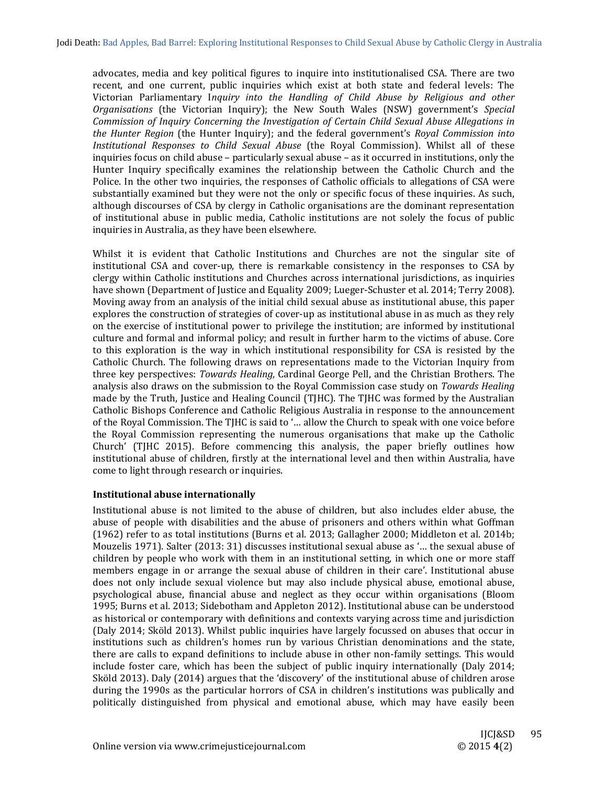advocates, media and key political figures to inquire into institutionalised CSA. There are two recent, and one current, public inquiries which exist at both state and federal levels: The Victorian Parliamentary I*nquiry into the Handling of Child Abuse by Religious and other Organisations* (the Victorian Inquiry); the New South Wales (NSW) government's *Special Commission of Inquiry Concerning the Investigation of Certain Child Sexual Abuse Allegations in the Hunter Region* (the Hunter Inquiry); and the federal government's *Royal Commission into Institutional Responses to Child Sexual Abuse* (the Royal Commission). Whilst all of these inquiries focus on child abuse – particularly sexual abuse – as it occurred in institutions, only the Hunter Inquiry specifically examines the relationship between the Catholic Church and the Police. In the other two inquiries, the responses of Catholic officials to allegations of CSA were substantially examined but they were not the only or specific focus of these inquiries. As such, although discourses of CSA by clergy in Catholic organisations are the dominant representation of institutional abuse in public media, Catholic institutions are not solely the focus of public inquiries in Australia, as they have been elsewhere.

Whilst it is evident that Catholic Institutions and Churches are not the singular site of institutional CSA and cover-up, there is remarkable consistency in the responses to CSA by clergy within Catholic institutions and Churches across international jurisdictions, as inquiries have shown (Department of Justice and Equality 2009; Lueger-Schuster et al. 2014; Terry 2008). Moving away from an analysis of the initial child sexual abuse as institutional abuse, this paper explores the construction of strategies of cover-up as institutional abuse in as much as they rely on the exercise of institutional power to privilege the institution; are informed by institutional culture and formal and informal policy; and result in further harm to the victims of abuse. Core to this exploration is the way in which institutional responsibility for CSA is resisted by the Catholic Church. The following draws on representations made to the Victorian Inquiry from three key perspectives: *Towards Healing,* Cardinal George Pell, and the Christian Brothers. The analysis also draws on the submission to the Royal Commission case study on *Towards Healing* made by the Truth, Justice and Healing Council (TJHC). The TJHC was formed by the Australian Catholic Bishops Conference and Catholic Religious Australia in response to the announcement of the Royal Commission. The TIHC is said to '... allow the Church to speak with one voice before the Royal Commission representing the numerous organisations that make up the Catholic Church' (TJHC 2015). Before commencing this analysis, the paper briefly outlines how institutional abuse of children, firstly at the international level and then within Australia, have come to light through research or inquiries.

# **Institutional abuse internationally**

Institutional abuse is not limited to the abuse of children, but also includes elder abuse, the abuse of people with disabilities and the abuse of prisoners and others within what Goffman  $(1962)$  refer to as total institutions (Burns et al. 2013; Gallagher 2000; Middleton et al. 2014b; Mouzelis 1971). Salter  $(2013: 31)$  discusses institutional sexual abuse as '... the sexual abuse of children by people who work with them in an institutional setting, in which one or more staff members engage in or arrange the sexual abuse of children in their care'. Institutional abuse does not only include sexual violence but may also include physical abuse, emotional abuse, psychological abuse, financial abuse and neglect as they occur within organisations (Bloom 1995; Burns et al. 2013; Sidebotham and Appleton 2012). Institutional abuse can be understood as historical or contemporary with definitions and contexts varying across time and jurisdiction (Daly 2014; Sköld 2013). Whilst public inquiries have largely focussed on abuses that occur in institutions such as children's homes run by various Christian denominations and the state, there are calls to expand definitions to include abuse in other non-family settings. This would include foster care, which has been the subject of public inquiry internationally (Daly  $2014$ ; Sköld 2013). Daly (2014) argues that the 'discovery' of the institutional abuse of children arose during the 1990s as the particular horrors of CSA in children's institutions was publically and politically distinguished from physical and emotional abuse, which may have easily been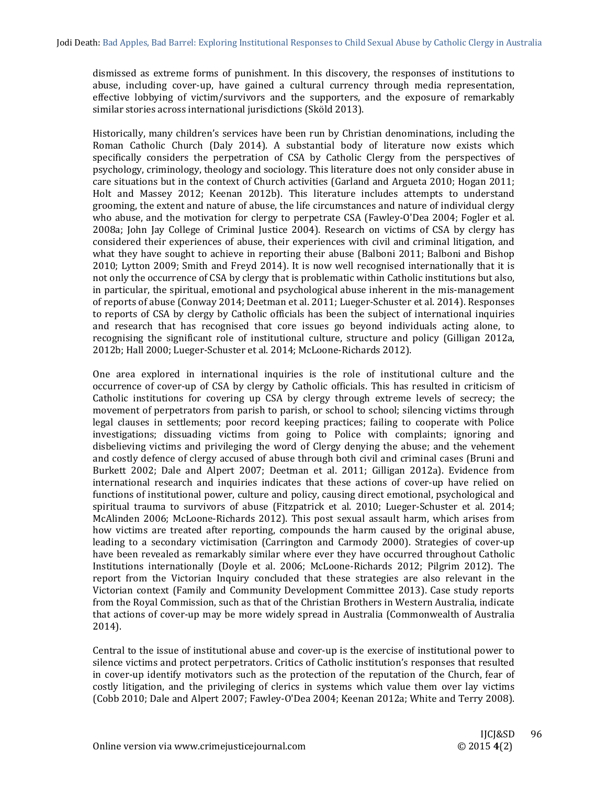dismissed as extreme forms of punishment. In this discovery, the responses of institutions to abuse, including cover-up, have gained a cultural currency through media representation, effective lobbying of victim/survivors and the supporters, and the exposure of remarkably similar stories across international jurisdictions (Sköld 2013).

Historically, many children's services have been run by Christian denominations, including the Roman Catholic Church (Daly 2014). A substantial body of literature now exists which specifically considers the perpetration of CSA by Catholic Clergy from the perspectives of psychology, criminology, theology and sociology. This literature does not only consider abuse in care situations but in the context of Church activities (Garland and Argueta 2010; Hogan 2011; Holt and Massey 2012; Keenan 2012b). This literature includes attempts to understand grooming, the extent and nature of abuse, the life circumstances and nature of individual clergy who abuse, and the motivation for clergy to perpetrate CSA (Fawley-O'Dea 2004; Fogler et al. 2008a; John Jay College of Criminal Justice 2004). Research on victims of CSA by clergy has considered their experiences of abuse, their experiences with civil and criminal litigation, and what they have sought to achieve in reporting their abuse (Balboni 2011; Balboni and Bishop 2010; Lytton 2009; Smith and Freyd 2014). It is now well recognised internationally that it is not only the occurrence of CSA by clergy that is problematic within Catholic institutions but also, in particular, the spiritual, emotional and psychological abuse inherent in the mis-management of reports of abuse (Conway 2014; Deetman et al. 2011; Lueger-Schuster et al. 2014). Responses to reports of CSA by clergy by Catholic officials has been the subject of international inquiries and research that has recognised that core issues go beyond individuals acting alone, to recognising the significant role of institutional culture, structure and policy (Gilligan 2012a, 2012b; Hall 2000; Lueger-Schuster et al. 2014; McLoone-Richards 2012).

One area explored in international inquiries is the role of institutional culture and the occurrence of cover-up of CSA by clergy by Catholic officials. This has resulted in criticism of Catholic institutions for covering up CSA by clergy through extreme levels of secrecy; the movement of perpetrators from parish to parish, or school to school; silencing victims through legal clauses in settlements; poor record keeping practices; failing to cooperate with Police investigations; dissuading victims from going to Police with complaints; ignoring and disbelieving victims and privileging the word of Clergy denying the abuse; and the vehement and costly defence of clergy accused of abuse through both civil and criminal cases (Bruni and Burkett 2002; Dale and Alpert 2007; Deetman et al. 2011; Gilligan 2012a). Evidence from international research and inquiries indicates that these actions of cover-up have relied on functions of institutional power, culture and policy, causing direct emotional, psychological and spiritual trauma to survivors of abuse (Fitzpatrick et al. 2010; Lueger-Schuster et al. 2014; McAlinden 2006; McLoone-Richards 2012). This post sexual assault harm, which arises from how victims are treated after reporting, compounds the harm caused by the original abuse, leading to a secondary victimisation (Carrington and Carmody 2000). Strategies of cover-up have been revealed as remarkably similar where ever they have occurred throughout Catholic Institutions internationally (Doyle et al. 2006; McLoone-Richards 2012; Pilgrim 2012). The report from the Victorian Inquiry concluded that these strategies are also relevant in the Victorian context (Family and Community Development Committee 2013). Case study reports from the Royal Commission, such as that of the Christian Brothers in Western Australia, indicate that actions of cover-up may be more widely spread in Australia (Commonwealth of Australia 2014). 

Central to the issue of institutional abuse and cover-up is the exercise of institutional power to silence victims and protect perpetrators. Critics of Catholic institution's responses that resulted in cover-up identify motivators such as the protection of the reputation of the Church, fear of costly litigation, and the privileging of clerics in systems which value them over lay victims (Cobb 2010; Dale and Alpert 2007; Fawley-O'Dea 2004; Keenan 2012a; White and Terry 2008).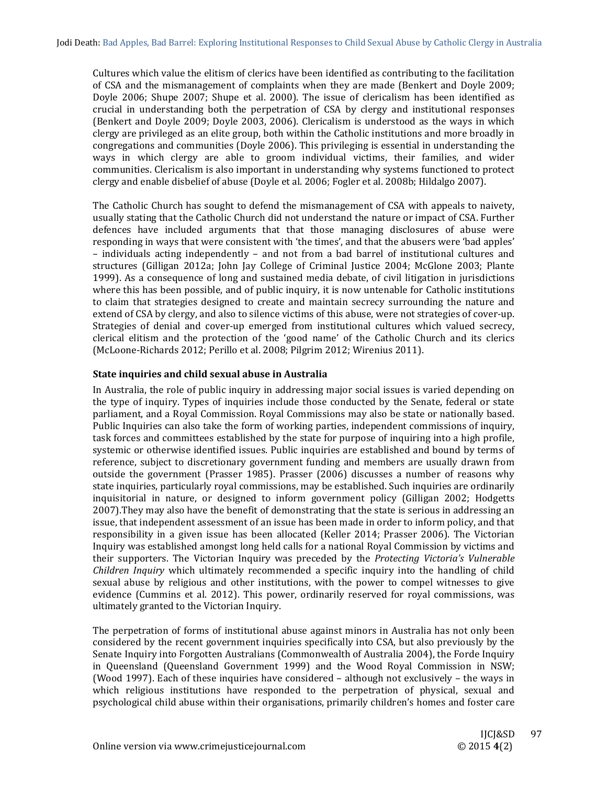Cultures which value the elitism of clerics have been identified as contributing to the facilitation of CSA and the mismanagement of complaints when they are made (Benkert and Doyle 2009; Doyle 2006; Shupe 2007; Shupe et al. 2000). The issue of clericalism has been identified as crucial in understanding both the perpetration of CSA by clergy and institutional responses (Benkert and Doyle 2009; Doyle 2003, 2006). Clericalism is understood as the ways in which clergy are privileged as an elite group, both within the Catholic institutions and more broadly in congregations and communities (Doyle 2006). This privileging is essential in understanding the ways in which clergy are able to groom individual victims, their families, and wider communities. Clericalism is also important in understanding why systems functioned to protect clergy and enable disbelief of abuse (Doyle et al. 2006; Fogler et al. 2008b; Hildalgo 2007).

The Catholic Church has sought to defend the mismanagement of CSA with appeals to naivety, usually stating that the Catholic Church did not understand the nature or impact of CSA. Further defences have included arguments that that those managing disclosures of abuse were responding in ways that were consistent with 'the times', and that the abusers were 'bad apples' – individuals acting independently – and not from a bad barrel of institutional cultures and structures (Gilligan 2012a; John Jay College of Criminal Justice 2004; McGlone 2003; Plante 1999). As a consequence of long and sustained media debate, of civil litigation in jurisdictions where this has been possible, and of public inquiry, it is now untenable for Catholic institutions to claim that strategies designed to create and maintain secrecy surrounding the nature and extend of CSA by clergy, and also to silence victims of this abuse, were not strategies of cover-up. Strategies of denial and cover-up emerged from institutional cultures which valued secrecy, clerical elitism and the protection of the 'good name' of the Catholic Church and its clerics (McLoone-Richards 2012; Perillo et al. 2008; Pilgrim 2012; Wirenius 2011).

# **State inquiries and child sexual abuse in Australia**

In Australia, the role of public inquiry in addressing major social issues is varied depending on the type of inquiry. Types of inquiries include those conducted by the Senate, federal or state parliament, and a Royal Commission. Royal Commissions may also be state or nationally based. Public Inquiries can also take the form of working parties, independent commissions of inquiry, task forces and committees established by the state for purpose of inquiring into a high profile, systemic or otherwise identified issues. Public inquiries are established and bound by terms of reference, subject to discretionary government funding and members are usually drawn from outside the government (Prasser 1985). Prasser (2006) discusses a number of reasons why state inquiries, particularly royal commissions, may be established. Such inquiries are ordinarily inquisitorial in nature, or designed to inform government policy (Gilligan 2002; Hodgetts 2007). They may also have the benefit of demonstrating that the state is serious in addressing an issue, that independent assessment of an issue has been made in order to inform policy, and that responsibility in a given issue has been allocated (Keller 2014; Prasser 2006). The Victorian Inquiry was established amongst long held calls for a national Royal Commission by victims and their supporters. The Victorian Inquiry was preceded by the *Protecting Victoria's Vulnerable Children Inquiry* which ultimately recommended a specific inquiry into the handling of child sexual abuse by religious and other institutions, with the power to compel witnesses to give evidence (Cummins et al. 2012). This power, ordinarily reserved for royal commissions, was ultimately granted to the Victorian Inquiry.

The perpetration of forms of institutional abuse against minors in Australia has not only been considered by the recent government inquiries specifically into CSA, but also previously by the Senate Inquiry into Forgotten Australians (Commonwealth of Australia 2004), the Forde Inquiry in Queensland (Queensland Government 1999) and the Wood Royal Commission in NSW; (Wood 1997). Each of these inquiries have considered  $-$  although not exclusively  $-$  the ways in which religious institutions have responded to the perpetration of physical, sexual and psychological child abuse within their organisations, primarily children's homes and foster care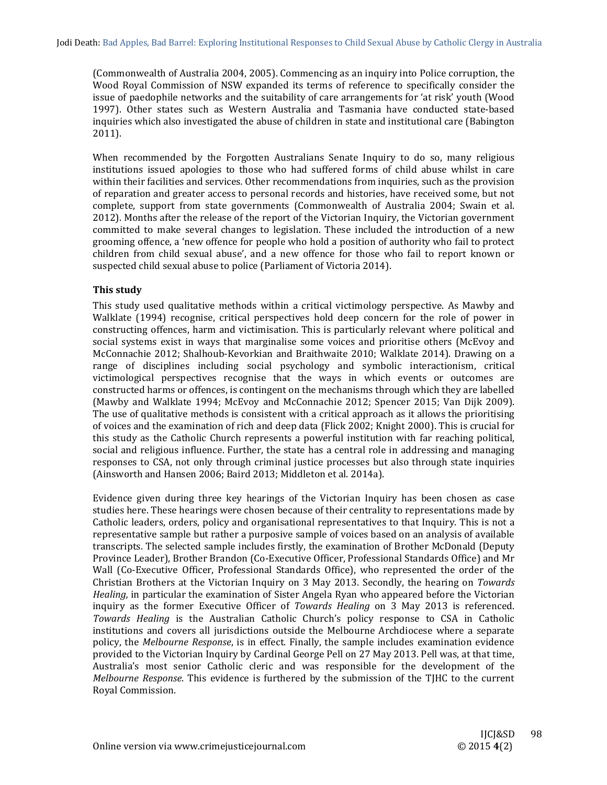(Commonwealth of Australia 2004, 2005). Commencing as an inquiry into Police corruption, the Wood Royal Commission of NSW expanded its terms of reference to specifically consider the issue of paedophile networks and the suitability of care arrangements for 'at risk' youth (Wood 1997). Other states such as Western Australia and Tasmania have conducted state-based inquiries which also investigated the abuse of children in state and institutional care (Babington 2011). 

When recommended by the Forgotten Australians Senate Inquiry to do so, many religious institutions issued apologies to those who had suffered forms of child abuse whilst in care within their facilities and services. Other recommendations from inquiries, such as the provision of reparation and greater access to personal records and histories, have received some, but not complete, support from state governments (Commonwealth of Australia 2004; Swain et al. 2012). Months after the release of the report of the Victorian Inquiry, the Victorian government committed to make several changes to legislation. These included the introduction of a new grooming offence, a 'new offence for people who hold a position of authority who fail to protect children from child sexual abuse', and a new offence for those who fail to report known or suspected child sexual abuse to police (Parliament of Victoria 2014).

# **This study**

This study used qualitative methods within a critical victimology perspective. As Mawby and Walklate (1994) recognise, critical perspectives hold deep concern for the role of power in constructing offences, harm and victimisation. This is particularly relevant where political and social systems exist in ways that marginalise some voices and prioritise others (McEvoy and McConnachie 2012; Shalhoub-Kevorkian and Braithwaite 2010; Walklate 2014). Drawing on a range of disciplines including social psychology and symbolic interactionism, critical victimological perspectives recognise that the ways in which events or outcomes are constructed harms or offences, is contingent on the mechanisms through which they are labelled (Mawby and Walklate 1994; McEvoy and McConnachie 2012; Spencer 2015; Van Dijk 2009). The use of qualitative methods is consistent with a critical approach as it allows the prioritising of voices and the examination of rich and deep data (Flick 2002; Knight 2000). This is crucial for this study as the Catholic Church represents a powerful institution with far reaching political, social and religious influence. Further, the state has a central role in addressing and managing responses to CSA, not only through criminal justice processes but also through state inquiries (Ainsworth and Hansen 2006; Baird 2013; Middleton et al. 2014a).

Evidence given during three key hearings of the Victorian Inquiry has been chosen as case studies here. These hearings were chosen because of their centrality to representations made by Catholic leaders, orders, policy and organisational representatives to that Inquiry. This is not a representative sample but rather a purposive sample of voices based on an analysis of available transcripts. The selected sample includes firstly, the examination of Brother McDonald (Deputy Province Leader), Brother Brandon (Co-Executive Officer, Professional Standards Office) and Mr Wall (Co-Executive Officer, Professional Standards Office), who represented the order of the Christian Brothers at the Victorian Inquiry on 3 May 2013. Secondly, the hearing on *Towards Healing*, in particular the examination of Sister Angela Ryan who appeared before the Victorian inquiry as the former Executive Officer of *Towards Healing* on 3 May 2013 is referenced. *Towards Healing* is the Australian Catholic Church's policy response to CSA in Catholic institutions and covers all jurisdictions outside the Melbourne Archdiocese where a separate policy, the *Melbourne Response*, is in effect. Finally, the sample includes examination evidence provided to the Victorian Inquiry by Cardinal George Pell on 27 May 2013. Pell was, at that time, Australia's most senior Catholic cleric and was responsible for the development of the *Melbourne Response*. This evidence is furthered by the submission of the TJHC to the current Royal Commission.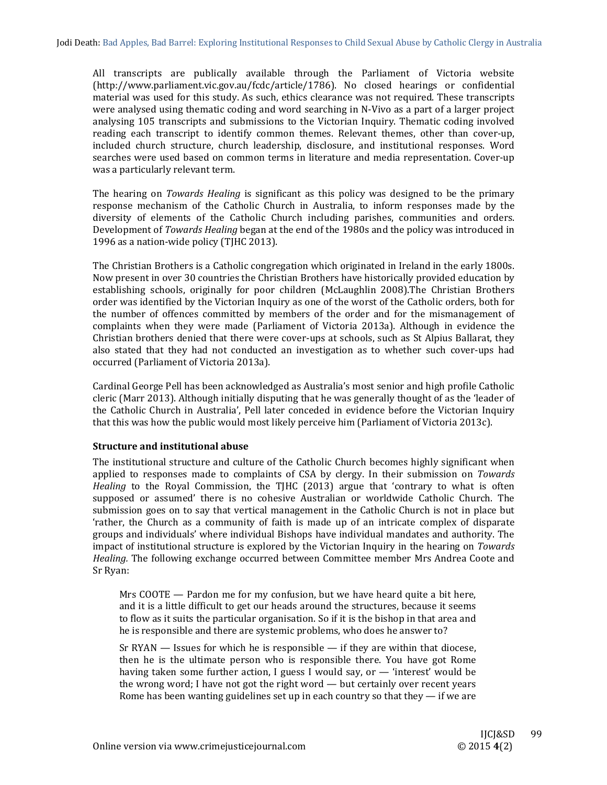All transcripts are publically available through the Parliament of Victoria website (http://www.parliament.vic.gov.au/fcdc/article/1786). No closed hearings or confidential material was used for this study. As such, ethics clearance was not required. These transcripts were analysed using thematic coding and word searching in N-Vivo as a part of a larger project analysing 105 transcripts and submissions to the Victorian Inquiry. Thematic coding involved reading each transcript to identify common themes. Relevant themes, other than cover-up, included church structure, church leadership, disclosure, and institutional responses. Word searches were used based on common terms in literature and media representation. Cover-up was a particularly relevant term.

The hearing on *Towards Healing* is significant as this policy was designed to be the primary response mechanism of the Catholic Church in Australia, to inform responses made by the diversity of elements of the Catholic Church including parishes, communities and orders. Development of *Towards Healing* began at the end of the 1980s and the policy was introduced in 1996 as a nation-wide policy (TJHC 2013).

The Christian Brothers is a Catholic congregation which originated in Ireland in the early 1800s. Now present in over 30 countries the Christian Brothers have historically provided education by establishing schools, originally for poor children (McLaughlin 2008).The Christian Brothers order was identified by the Victorian Inquiry as one of the worst of the Catholic orders, both for the number of offences committed by members of the order and for the mismanagement of complaints when they were made (Parliament of Victoria 2013a). Although in evidence the Christian brothers denied that there were cover-ups at schools, such as St Alpius Ballarat, they also stated that they had not conducted an investigation as to whether such cover-ups had occurred (Parliament of Victoria 2013a).

Cardinal George Pell has been acknowledged as Australia's most senior and high profile Catholic cleric (Marr 2013). Although initially disputing that he was generally thought of as the 'leader of the Catholic Church in Australia', Pell later conceded in evidence before the Victorian Inquiry that this was how the public would most likely perceive him (Parliament of Victoria 2013c).

# **Structure and institutional abuse**

The institutional structure and culture of the Catholic Church becomes highly significant when applied to responses made to complaints of CSA by clergy. In their submission on *Towards Healing* to the Royal Commission, the TJHC (2013) argue that 'contrary to what is often supposed or assumed' there is no cohesive Australian or worldwide Catholic Church. The submission goes on to say that vertical management in the Catholic Church is not in place but 'rather, the Church as a community of faith is made up of an intricate complex of disparate groups and individuals' where individual Bishops have individual mandates and authority. The impact of institutional structure is explored by the Victorian Inquiry in the hearing on *Towards Healing*. The following exchange occurred between Committee member Mrs Andrea Coote and Sr Ryan:

Mrs  $COOTE$  — Pardon me for my confusion, but we have heard quite a bit here, and it is a little difficult to get our heads around the structures, because it seems to flow as it suits the particular organisation. So if it is the bishop in that area and he is responsible and there are systemic problems, who does he answer to?

Sr RYAN  $-$  Issues for which he is responsible  $-$  if they are within that diocese, then he is the ultimate person who is responsible there. You have got Rome having taken some further action, I guess I would say, or  $-$  'interest' would be the wrong word; I have not got the right word  $-$  but certainly over recent years Rome has been wanting guidelines set up in each country so that they  $-$  if we are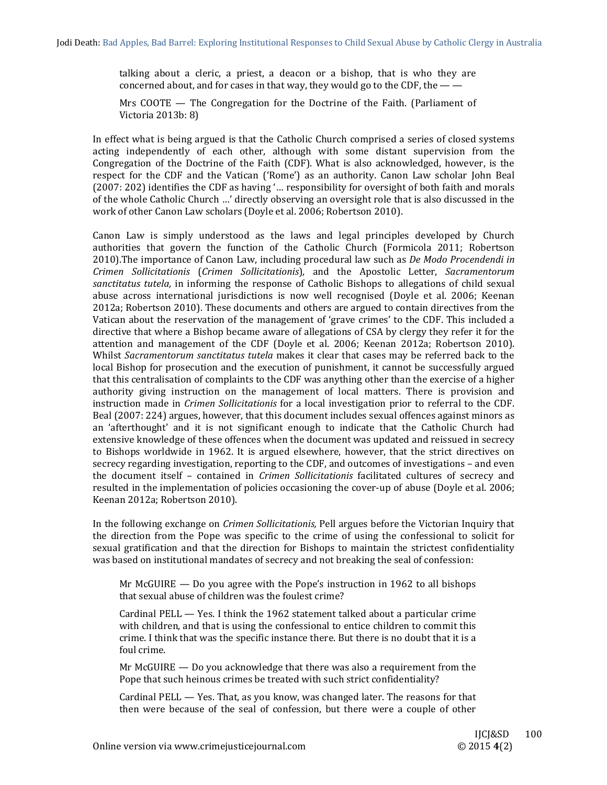talking about a cleric, a priest, a deacon or a bishop, that is who they are concerned about, and for cases in that way, they would go to the CDF, the  $-\frac{1}{2}$ 

Mrs  $COOTE$  — The Congregation for the Doctrine of the Faith. (Parliament of Victoria 2013b: 8) 

In effect what is being argued is that the Catholic Church comprised a series of closed systems acting independently of each other, although with some distant supervision from the Congregation of the Doctrine of the Faith (CDF). What is also acknowledged, however, is the respect for the CDF and the Vatican ('Rome') as an authority. Canon Law scholar John Beal (2007: 202) identifies the CDF as having '... responsibility for oversight of both faith and morals of the whole Catholic Church ...' directly observing an oversight role that is also discussed in the work of other Canon Law scholars (Doyle et al. 2006; Robertson 2010).

Canon Law is simply understood as the laws and legal principles developed by Church authorities that govern the function of the Catholic Church (Formicola 2011; Robertson 2010).The importance of Canon Law, including procedural law such as *De Modo Procendendi* in *Crimen Sollicitationis* (*Crimen Sollicitationis*)*,* and the Apostolic Letter, *Sacramentorum* sanctitatus tutela, in informing the response of Catholic Bishops to allegations of child sexual abuse across international jurisdictions is now well recognised (Doyle et al. 2006; Keenan 2012a; Robertson 2010). These documents and others are argued to contain directives from the Vatican about the reservation of the management of 'grave crimes' to the CDF. This included a directive that where a Bishop became aware of allegations of CSA by clergy they refer it for the attention and management of the CDF (Doyle et al. 2006; Keenan 2012a; Robertson 2010). Whilst *Sacramentorum sanctitatus tutela* makes it clear that cases may be referred back to the local Bishop for prosecution and the execution of punishment, it cannot be successfully argued that this centralisation of complaints to the CDF was anything other than the exercise of a higher authority giving instruction on the management of local matters. There is provision and instruction made in *Crimen Sollicitationis* for a local investigation prior to referral to the CDF. Beal (2007: 224) argues, however, that this document includes sexual offences against minors as an 'afterthought' and it is not significant enough to indicate that the Catholic Church had extensive knowledge of these offences when the document was updated and reissued in secrecy to Bishops worldwide in 1962. It is argued elsewhere, however, that the strict directives on secrecy regarding investigation, reporting to the CDF, and outcomes of investigations – and even the document itself – contained in *Crimen Sollicitationis* facilitated cultures of secrecy and resulted in the implementation of policies occasioning the cover-up of abuse (Doyle et al. 2006; Keenan 2012a; Robertson 2010).

In the following exchange on *Crimen Sollicitationis*, Pell argues before the Victorian Inquiry that the direction from the Pope was specific to the crime of using the confessional to solicit for sexual gratification and that the direction for Bishops to maintain the strictest confidentiality was based on institutional mandates of secrecy and not breaking the seal of confession:

Mr McGUIRE  $-$  Do you agree with the Pope's instruction in 1962 to all bishops that sexual abuse of children was the foulest crime?

Cardinal PELL  $-$  Yes. I think the 1962 statement talked about a particular crime with children, and that is using the confessional to entice children to commit this crime. I think that was the specific instance there. But there is no doubt that it is a foul crime.

Mr McGUIRE  $-$  Do you acknowledge that there was also a requirement from the Pope that such heinous crimes be treated with such strict confidentiality?

Cardinal  $PELL$   $-$  Yes. That, as you know, was changed later. The reasons for that then were because of the seal of confession, but there were a couple of other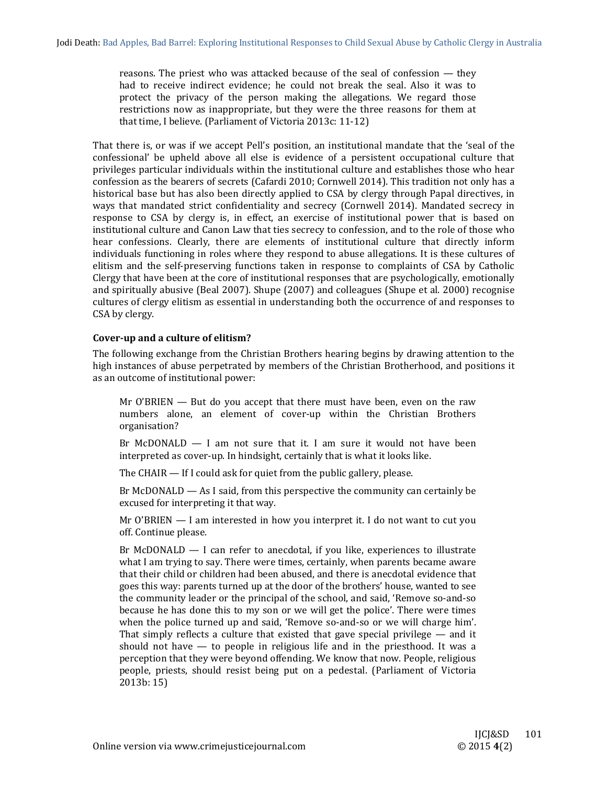reasons. The priest who was attacked because of the seal of confession  $-$  they had to receive indirect evidence; he could not break the seal. Also it was to protect the privacy of the person making the allegations. We regard those restrictions now as inappropriate, but they were the three reasons for them at that time, I believe. (Parliament of Victoria  $2013c: 11-12$ )

That there is, or was if we accept Pell's position, an institutional mandate that the 'seal of the confessional' be upheld above all else is evidence of a persistent occupational culture that privileges particular individuals within the institutional culture and establishes those who hear confession as the bearers of secrets (Cafardi 2010; Cornwell 2014). This tradition not only has a historical base but has also been directly applied to CSA by clergy through Papal directives, in ways that mandated strict confidentiality and secrecy (Cornwell 2014). Mandated secrecy in response to CSA by clergy is, in effect, an exercise of institutional power that is based on institutional culture and Canon Law that ties secrecy to confession, and to the role of those who hear confessions. Clearly, there are elements of institutional culture that directly inform individuals functioning in roles where they respond to abuse allegations. It is these cultures of elitism and the self-preserving functions taken in response to complaints of CSA by Catholic Clergy that have been at the core of institutional responses that are psychologically, emotionally and spiritually abusive (Beal 2007). Shupe (2007) and colleagues (Shupe et al. 2000) recognise cultures of clergy elitism as essential in understanding both the occurrence of and responses to CSA by clergy.

# **Cover‐up and a culture of elitism?**

The following exchange from the Christian Brothers hearing begins by drawing attention to the high instances of abuse perpetrated by members of the Christian Brotherhood, and positions it as an outcome of institutional power:

Mr O'BRIEN  $-$  But do you accept that there must have been, even on the raw numbers alone, an element of cover-up within the Christian Brothers organisation? 

Br McDONALD  $-$  I am not sure that it. I am sure it would not have been interpreted as cover-up. In hindsight, certainly that is what it looks like.

The CHAIR  $-$  If I could ask for quiet from the public gallery, please.

Br McDONALD  $-$  As I said, from this perspective the community can certainly be excused for interpreting it that way.

Mr O'BRIEN  $-$  I am interested in how you interpret it. I do not want to cut you off. Continue please.

Br McDONALD  $-$  I can refer to anecdotal, if you like, experiences to illustrate what I am trying to say. There were times, certainly, when parents became aware that their child or children had been abused, and there is anecdotal evidence that goes this way: parents turned up at the door of the brothers' house, wanted to see the community leader or the principal of the school, and said, 'Remove so-and-so because he has done this to my son or we will get the police'. There were times when the police turned up and said, 'Remove so-and-so or we will charge him'. That simply reflects a culture that existed that gave special privilege  $-$  and it should not have  $-$  to people in religious life and in the priesthood. It was a perception that they were beyond offending. We know that now. People, religious people, priests, should resist being put on a pedestal. (Parliament of Victoria  $2013b:15$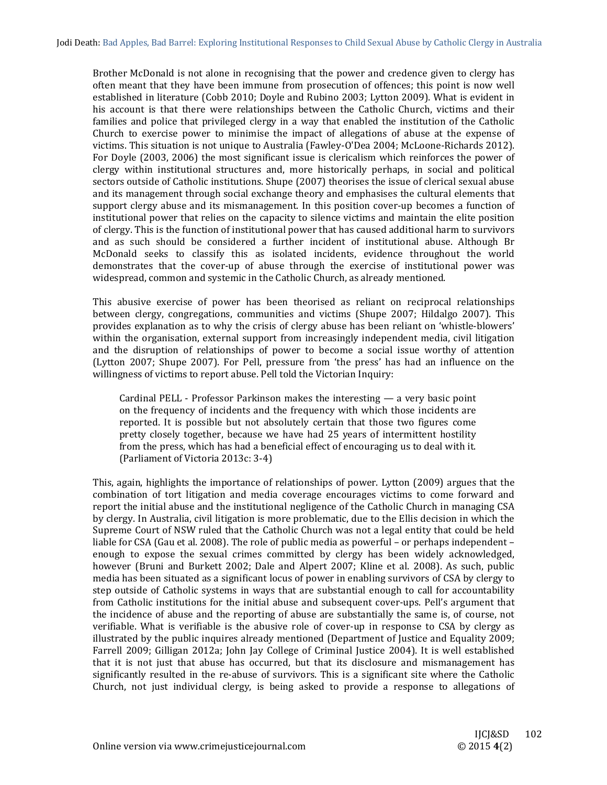Brother McDonald is not alone in recognising that the power and credence given to clergy has often meant that they have been immune from prosecution of offences; this point is now well established in literature (Cobb 2010; Doyle and Rubino 2003; Lytton 2009). What is evident in his account is that there were relationships between the Catholic Church, victims and their families and police that privileged clergy in a way that enabled the institution of the Catholic Church to exercise power to minimise the impact of allegations of abuse at the expense of victims. This situation is not unique to Australia (Fawley-O'Dea 2004; McLoone-Richards 2012). For Doyle (2003, 2006) the most significant issue is clericalism which reinforces the power of clergy within institutional structures and, more historically perhaps, in social and political sectors outside of Catholic institutions. Shupe (2007) theorises the issue of clerical sexual abuse and its management through social exchange theory and emphasises the cultural elements that support clergy abuse and its mismanagement. In this position cover-up becomes a function of institutional power that relies on the capacity to silence victims and maintain the elite position of clergy. This is the function of institutional power that has caused additional harm to survivors and as such should be considered a further incident of institutional abuse. Although Br McDonald seeks to classify this as isolated incidents, evidence throughout the world demonstrates that the cover-up of abuse through the exercise of institutional power was widespread, common and systemic in the Catholic Church, as already mentioned.

This abusive exercise of power has been theorised as reliant on reciprocal relationships between clergy, congregations, communities and victims (Shupe 2007; Hildalgo 2007). This provides explanation as to why the crisis of clergy abuse has been reliant on 'whistle-blowers' within the organisation, external support from increasingly independent media, civil litigation and the disruption of relationships of power to become a social issue worthy of attention (Lytton 2007; Shupe 2007). For Pell, pressure from 'the press' has had an influence on the willingness of victims to report abuse. Pell told the Victorian Inquiry:

Cardinal PELL - Professor Parkinson makes the interesting  $-$  a very basic point on the frequency of incidents and the frequency with which those incidents are reported. It is possible but not absolutely certain that those two figures come pretty closely together, because we have had 25 years of intermittent hostility from the press, which has had a beneficial effect of encouraging us to deal with it. (Parliament of Victoria 2013c: 3-4)

This, again, highlights the importance of relationships of power. Lytton (2009) argues that the combination of tort litigation and media coverage encourages victims to come forward and report the initial abuse and the institutional negligence of the Catholic Church in managing CSA by clergy. In Australia, civil litigation is more problematic, due to the Ellis decision in which the Supreme Court of NSW ruled that the Catholic Church was not a legal entity that could be held liable for CSA (Gau et al. 2008). The role of public media as powerful – or perhaps independent – enough to expose the sexual crimes committed by clergy has been widely acknowledged, however (Bruni and Burkett 2002; Dale and Alpert 2007; Kline et al. 2008). As such, public media has been situated as a significant locus of power in enabling survivors of CSA by clergy to step outside of Catholic systems in ways that are substantial enough to call for accountability from Catholic institutions for the initial abuse and subsequent cover-ups. Pell's argument that the incidence of abuse and the reporting of abuse are substantially the same is, of course, not verifiable. What is verifiable is the abusive role of cover-up in response to CSA by clergy as illustrated by the public inquires already mentioned (Department of Justice and Equality 2009; Farrell 2009; Gilligan 2012a; John Jay College of Criminal Justice 2004). It is well established that it is not just that abuse has occurred, but that its disclosure and mismanagement has significantly resulted in the re-abuse of survivors. This is a significant site where the Catholic Church, not just individual clergy, is being asked to provide a response to allegations of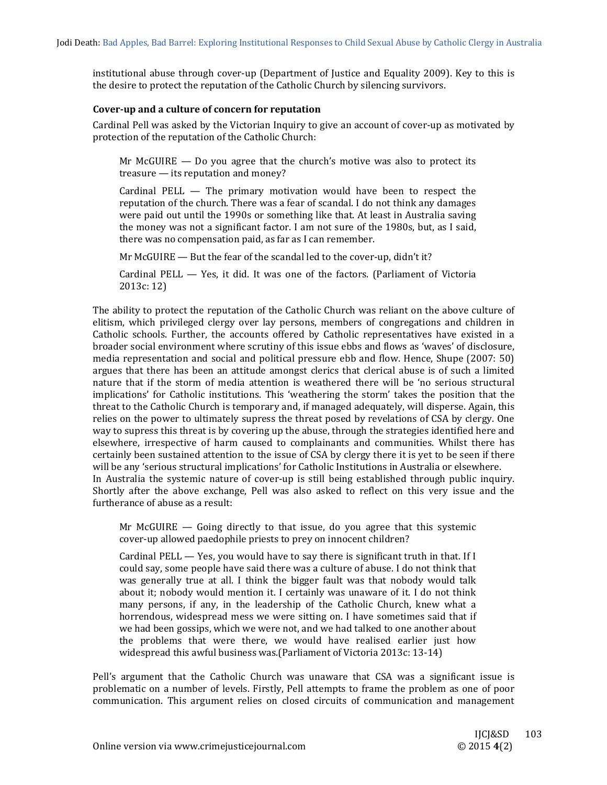institutional abuse through cover-up (Department of Justice and Equality 2009). Key to this is the desire to protect the reputation of the Catholic Church by silencing survivors.

#### **Cover‐up and a culture of concern for reputation**

Cardinal Pell was asked by the Victorian Inquiry to give an account of cover-up as motivated by protection of the reputation of the Catholic Church:

Mr McGUIRE  $-$  Do you agree that the church's motive was also to protect its  $t$ reasure  $-$  its reputation and money?

Cardinal PELL  $-$  The primary motivation would have been to respect the reputation of the church. There was a fear of scandal. I do not think any damages were paid out until the 1990s or something like that. At least in Australia saving the money was not a significant factor. I am not sure of the 1980s, but, as I said, there was no compensation paid, as far as I can remember.

Mr McGUIRE — But the fear of the scandal led to the cover-up, didn't it?

Cardinal PELL  $-$  Yes, it did. It was one of the factors. (Parliament of Victoria 2013c: 12)

The ability to protect the reputation of the Catholic Church was reliant on the above culture of elitism, which privileged clergy over lay persons, members of congregations and children in Catholic schools. Further, the accounts offered by Catholic representatives have existed in a broader social environment where scrutiny of this issue ebbs and flows as 'waves' of disclosure, media representation and social and political pressure ebb and flow. Hence, Shupe (2007: 50) argues that there has been an attitude amongst clerics that clerical abuse is of such a limited nature that if the storm of media attention is weathered there will be 'no serious structural implications' for Catholic institutions. This 'weathering the storm' takes the position that the threat to the Catholic Church is temporary and, if managed adequately, will disperse. Again, this relies on the power to ultimately supress the threat posed by revelations of CSA by clergy. One way to supress this threat is by covering up the abuse, through the strategies identified here and elsewhere, irrespective of harm caused to complainants and communities. Whilst there has certainly been sustained attention to the issue of CSA by clergy there it is yet to be seen if there will be any 'serious structural implications' for Catholic Institutions in Australia or elsewhere. In Australia the systemic nature of cover-up is still being established through public inquiry. Shortly after the above exchange, Pell was also asked to reflect on this very issue and the furtherance of abuse as a result:

Mr McGUIRE  $-$  Going directly to that issue, do you agree that this systemic cover-up allowed paedophile priests to prey on innocent children?

Cardinal PELL  $-$  Yes, you would have to say there is significant truth in that. If I could say, some people have said there was a culture of abuse. I do not think that was generally true at all. I think the bigger fault was that nobody would talk about it; nobody would mention it. I certainly was unaware of it. I do not think many persons, if any, in the leadership of the Catholic Church, knew what a horrendous, widespread mess we were sitting on. I have sometimes said that if we had been gossips, which we were not, and we had talked to one another about the problems that were there, we would have realised earlier just how widespread this awful business was.(Parliament of Victoria 2013c:  $13-14$ )

Pell's argument that the Catholic Church was unaware that CSA was a significant issue is problematic on a number of levels. Firstly, Pell attempts to frame the problem as one of poor communication. This argument relies on closed circuits of communication and management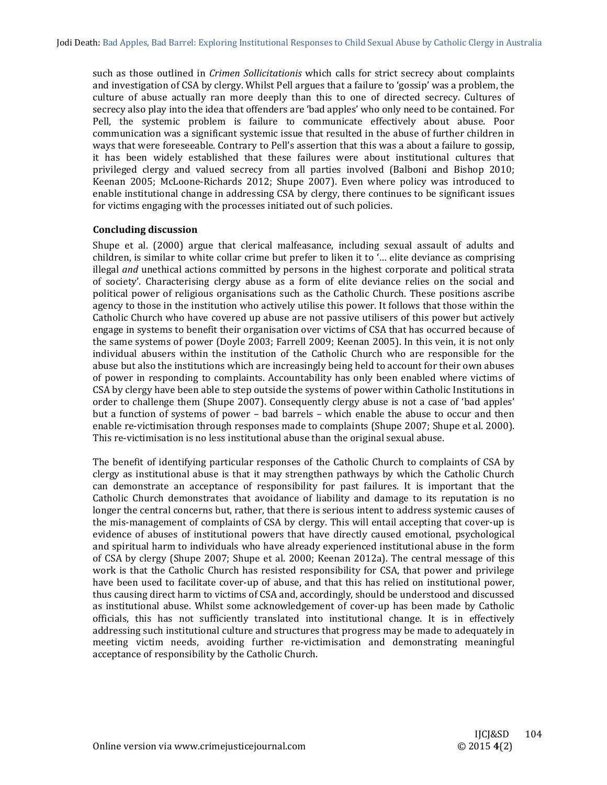such as those outlined in *Crimen Sollicitationis* which calls for strict secrecy about complaints and investigation of CSA by clergy. Whilst Pell argues that a failure to 'gossip' was a problem, the culture of abuse actually ran more deeply than this to one of directed secrecy. Cultures of secrecy also play into the idea that offenders are 'bad apples' who only need to be contained. For Pell, the systemic problem is failure to communicate effectively about abuse. Poor communication was a significant systemic issue that resulted in the abuse of further children in ways that were foreseeable. Contrary to Pell's assertion that this was a about a failure to gossip, it has been widely established that these failures were about institutional cultures that privileged clergy and valued secrecy from all parties involved (Balboni and Bishop 2010; Keenan 2005; McLoone-Richards 2012; Shupe 2007). Even where policy was introduced to enable institutional change in addressing CSA by clergy, there continues to be significant issues for victims engaging with the processes initiated out of such policies.

# **Concluding discussion**

Shupe et al. (2000) argue that clerical malfeasance, including sexual assault of adults and children, is similar to white collar crime but prefer to liken it to '... elite deviance as comprising illegal *and* unethical actions committed by persons in the highest corporate and political strata of society'. Characterising clergy abuse as a form of elite deviance relies on the social and political power of religious organisations such as the Catholic Church. These positions ascribe agency to those in the institution who actively utilise this power. It follows that those within the Catholic Church who have covered up abuse are not passive utilisers of this power but actively engage in systems to benefit their organisation over victims of CSA that has occurred because of the same systems of power (Doyle 2003; Farrell 2009; Keenan 2005). In this vein, it is not only individual abusers within the institution of the Catholic Church who are responsible for the abuse but also the institutions which are increasingly being held to account for their own abuses of power in responding to complaints. Accountability has only been enabled where victims of CSA by clergy have been able to step outside the systems of power within Catholic Institutions in order to challenge them (Shupe 2007). Consequently clergy abuse is not a case of 'bad apples' but a function of systems of power – bad barrels – which enable the abuse to occur and then enable re-victimisation through responses made to complaints (Shupe 2007; Shupe et al. 2000). This re-victimisation is no less institutional abuse than the original sexual abuse.

The benefit of identifying particular responses of the Catholic Church to complaints of CSA by clergy as institutional abuse is that it may strengthen pathways by which the Catholic Church can demonstrate an acceptance of responsibility for past failures. It is important that the Catholic Church demonstrates that avoidance of liability and damage to its reputation is no longer the central concerns but, rather, that there is serious intent to address systemic causes of the mis-management of complaints of CSA by clergy. This will entail accepting that cover-up is evidence of abuses of institutional powers that have directly caused emotional, psychological and spiritual harm to individuals who have already experienced institutional abuse in the form of CSA by clergy (Shupe 2007; Shupe et al. 2000; Keenan 2012a). The central message of this work is that the Catholic Church has resisted responsibility for CSA, that power and privilege have been used to facilitate cover-up of abuse, and that this has relied on institutional power, thus causing direct harm to victims of CSA and, accordingly, should be understood and discussed as institutional abuse. Whilst some acknowledgement of cover-up has been made by Catholic officials, this has not sufficiently translated into institutional change. It is in effectively addressing such institutional culture and structures that progress may be made to adequately in meeting victim needs, avoiding further re-victimisation and demonstrating meaningful acceptance of responsibility by the Catholic Church.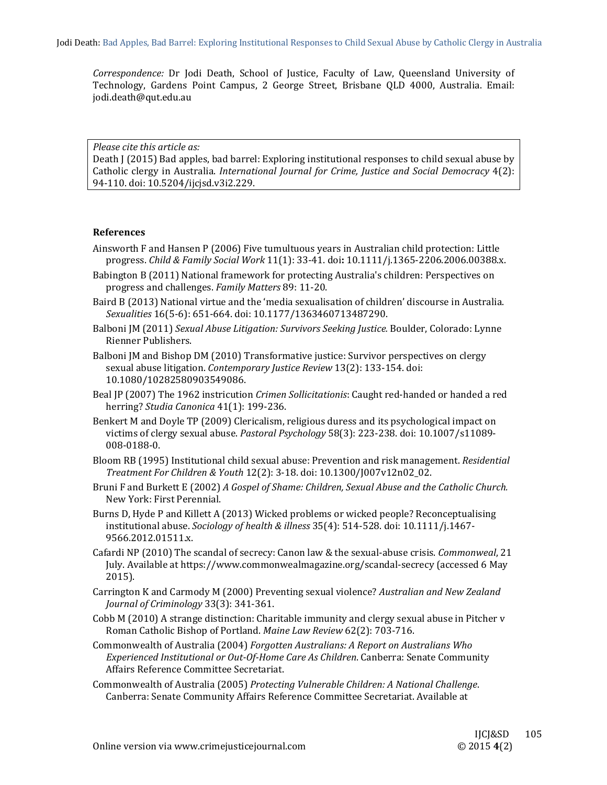Correspondence: Dr Jodi Death, School of Justice, Faculty of Law, Queensland University of Technology, Gardens Point Campus, 2 George Street, Brisbane QLD 4000, Australia. Email: jodi.death@qut.edu.au 

*Please cite this article as:*

Death J (2015) Bad apples, bad barrel: Exploring institutional responses to child sexual abuse by Catholic clergy in Australia. *International Journal for Crime, Justice and Social Democracy* 4(2): 94-110. doi: 10.5204/ijcjsd.v3i2.229.

#### **References**

- Ainsworth F and Hansen  $P(2006)$  Five tumultuous years in Australian child protection: Little progress. *Child & Family Social Work* 11(1): 33‐41. doi**:** 10.1111/j.1365‐2206.2006.00388.x.
- Babington B (2011) National framework for protecting Australia's children: Perspectives on progress and challenges. *Family Matters* 89: 11‐20.
- Baird B (2013) National virtue and the 'media sexualisation of children' discourse in Australia. *Sexualities* 16(5-6): 651-664. doi: 10.1177/1363460713487290.
- Balboni JM (2011) *Sexual Abuse Litigation: Survivors Seeking Justice.* Boulder, Colorado: Lynne Rienner Publishers.
- Balboni JM and Bishop DM (2010) Transformative justice: Survivor perspectives on clergy sexual abuse litigation. *Contemporary Justice Review* 13(2): 133-154. doi: 10.1080/10282580903549086.
- Beal JP (2007) The 1962 instricution *Crimen Sollicitationis*: Caught red-handed or handed a red herring? *Studia Canonica* 41(1): 199‐236.
- Benkert M and Doyle TP (2009) Clericalism, religious duress and its psychological impact on victims of clergy sexual abuse. *Pastoral Psychology* 58(3): 223-238. doi: 10.1007/s11089-008‐0188‐0.
- Bloom RB (1995) Institutional child sexual abuse: Prevention and risk management. *Residential Treatment For Children & Youth* 12(2): 3‐18. doi: 10.1300/J007v12n02\_02.
- Bruni F and Burkett E (2002) *A Gospel of Shame: Children, Sexual Abuse and the Catholic Church.* New York: First Perennial.
- Burns D, Hyde P and Killett A (2013) Wicked problems or wicked people? Reconceptualising institutional abuse. *Sociology of health & illness* 35(4): 514‐528. doi: 10.1111/j.1467‐ 9566.2012.01511.x.
- Cafardi NP (2010) The scandal of secrecy: Canon law & the sexual-abuse crisis. *Commonweal*, 21 July. Available at https://www.commonwealmagazine.org/scandal-secrecy (accessed 6 May 2015).
- Carrington K and Carmody M (2000) Preventing sexual violence? *Australian and New Zealand Journal of Criminology* 33(3): 341‐361.
- Cobb M (2010) A strange distinction: Charitable immunity and clergy sexual abuse in Pitcher v Roman Catholic Bishop of Portland. Maine Law Review 62(2): 703-716.
- Commonwealth of Australia (2004) *Forgotten Australians: A Report on Australians Who Experienced Institutional or Out‐Of‐Home Care As Children*. Canberra: Senate Community Affairs Reference Committee Secretariat.
- Commonwealth of Australia (2005) *Protecting Vulnerable Children: A National Challenge*. Canberra: Senate Community Affairs Reference Committee Secretariat. Available at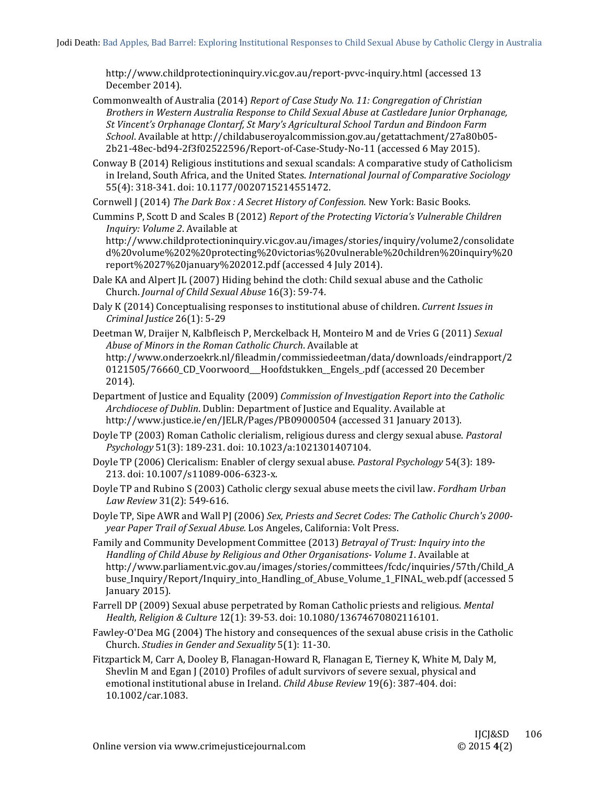http://www.childprotectioninquiry.vic.gov.au/report-pvvc-inquiry.html (accessed 13 December 2014).

Commonwealth of Australia (2014) *Report of Case Study No. 11: Congregation of Christian Brothers in Western Australia Response to Child Sexual Abuse at Castledare Junior Orphanage, St Vincent's Orphanage Clontarf, St Mary's Agricultural School Tardun and Bindoon Farm School.* Available at http://childabuseroyalcommission.gov.au/getattachment/27a80b05-2b21-48ec-bd94-2f3f02522596/Report-of-Case-Study-No-11 (accessed 6 May 2015).

Conway B (2014) Religious institutions and sexual scandals: A comparative study of Catholicism in Ireland, South Africa, and the United States. *International Journal of Comparative Sociology* 55(4): 318-341. doi: 10.1177/0020715214551472.

Cornwell J (2014) *The Dark Box : A Secret History of Confession.* New York: Basic Books. 

Cummins P, Scott D and Scales B (2012) *Report of the Protecting Victoria's Vulnerable Children Inquiry: Volume 2.* Available at

http://www.childprotectioninquiry.vic.gov.au/images/stories/inquiry/volume2/consolidate d%20volume%202%20protecting%20victorias%20vulnerable%20children%20inquiry%20 report%2027%20january%202012.pdf (accessed 4 July 2014).

- Dale KA and Alpert JL (2007) Hiding behind the cloth: Child sexual abuse and the Catholic Church. *Journal of Child Sexual Abuse* 16(3): 59‐74.
- Daly K (2014) Conceptualising responses to institutional abuse of children. Current Issues in *Criminal Justice* 26(1): 5‐29

Deetman W, Draijer N, Kalbfleisch P, Merckelback H, Monteiro M and de Vries G (2011) *Sexual Abuse of Minors in the Roman Catholic Church*. Available at http://www.onderzoekrk.nl/fileadmin/commissiedeetman/data/downloads/eindrapport/2 0121505/76660\_CD\_Voorwoord\_\_Hoofdstukken\_Engels\_.pdf (accessed 20 December 2014). 

Department of Justice and Equality (2009) *Commission of Investigation Report into the Catholic Archdiocese of Dublin*. Dublin: Department of Justice and Equality. Available at http://www.justice.ie/en/JELR/Pages/PB09000504 (accessed 31 January 2013).

Doyle TP (2003) Roman Catholic clerialism, religious duress and clergy sexual abuse. *Pastoral Psychology* 51(3): 189‐231. doi: 10.1023/a:1021301407104. 

Doyle TP (2006) Clericalism: Enabler of clergy sexual abuse. *Pastoral Psychology* 54(3): 189-213. doi: 10.1007/s11089-006-6323-x.

Doyle TP and Rubino S (2003) Catholic clergy sexual abuse meets the civil law. *Fordham Urban Law Review* 31(2): 549‐616. 

Doyle TP, Sipe AWR and Wall PJ (2006) *Sex, Priests and Secret Codes: The Catholic Church's 2000‐ year Paper Trail of Sexual Abuse.* Los Angeles, California: Volt Press. 

Family and Community Development Committee (2013) *Betrayal of Trust: Inquiry into the Handling of Child Abuse by Religious and Other Organisations‐ Volume 1*. Available at http://www.parliament.vic.gov.au/images/stories/committees/fcdc/inquiries/57th/Child\_A buse\_Inquiry/Report/Inquiry\_into\_Handling\_of\_Abuse\_Volume\_1\_FINAL\_web.pdf (accessed 5 January 2015).

- Farrell DP (2009) Sexual abuse perpetrated by Roman Catholic priests and religious. Mental *Health, Religion & Culture* 12(1): 39‐53. doi: 10.1080/13674670802116101.
- Fawley-O'Dea MG (2004) The history and consequences of the sexual abuse crisis in the Catholic Church. *Studies in Gender and Sexuality* 5(1): 11‐30.
- Fitzpartick M, Carr A, Dooley B, Flanagan-Howard R, Flanagan E, Tierney K, White M, Daly M, Shevlin M and Egan J (2010) Profiles of adult survivors of severe sexual, physical and emotional institutional abuse in Ireland. *Child Abuse Review* 19(6): 387-404. doi: 10.1002/car.1083.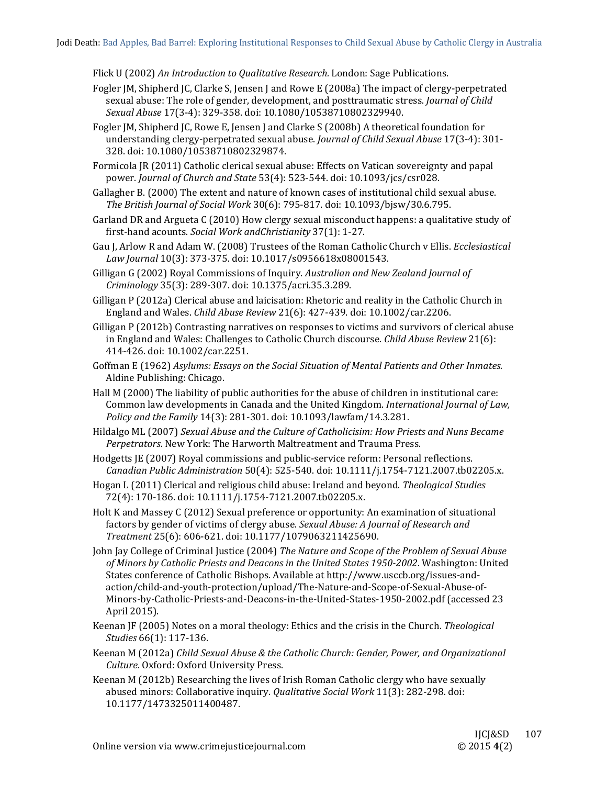Flick U (2002) *An Introduction to Qualitative Research.* London: Sage Publications. 

- Fogler JM, Shipherd JC, Clarke S, Jensen J and Rowe E (2008a) The impact of clergy-perpetrated sexual abuse: The role of gender, development, and posttraumatic stress. *Journal of Child Sexual Abuse* 17(3‐4): 329‐358. doi: 10.1080/10538710802329940.
- Fogler JM, Shipherd JC, Rowe E, Jensen J and Clarke S (2008b) A theoretical foundation for understanding clergy-perpetrated sexual abuse. *Journal of Child Sexual Abuse* 17(3-4): 301-328. doi: 10.1080/10538710802329874.
- Formicola JR (2011) Catholic clerical sexual abuse: Effects on Vatican sovereignty and papal power. *Journal of Church and State* 53(4): 523‐544. doi: 10.1093/jcs/csr028.
- Gallagher B. (2000) The extent and nature of known cases of institutional child sexual abuse. *The British Journal of Social Work* 30(6): 795‐817. doi: 10.1093/bjsw/30.6.795.
- Garland DR and Argueta C (2010) How clergy sexual misconduct happens: a qualitative study of first‐hand acounts. *Social Work andChristianity* 37(1): 1‐27.
- Gau J, Arlow R and Adam W. (2008) Trustees of the Roman Catholic Church v Ellis. *Ecclesiastical Law Journal* 10(3): 373‐375. doi: 10.1017/s0956618x08001543.
- Gilligan G (2002) Royal Commissions of Inquiry. *Australian and New Zealand Journal of Criminology* 35(3): 289‐307. doi: 10.1375/acri.35.3.289.
- Gilligan P (2012a) Clerical abuse and laicisation: Rhetoric and reality in the Catholic Church in England and Wales. *Child Abuse Review* 21(6): 427-439. doi: 10.1002/car.2206.
- Gilligan P (2012b) Contrasting narratives on responses to victims and survivors of clerical abuse in England and Wales: Challenges to Catholic Church discourse. *Child Abuse Review* 21(6): 414-426. doi: 10.1002/car.2251.
- Goffman E (1962) *Asylums: Essays on the Social Situation of Mental Patients and Other Inmates.* Aldine Publishing: Chicago.
- Hall M (2000) The liability of public authorities for the abuse of children in institutional care: Common law developments in Canada and the United Kingdom. *International Journal of Law*, *Policy and the Family* 14(3): 281‐301. doi: 10.1093/lawfam/14.3.281.
- Hildalgo ML (2007) *Sexual Abuse and the Culture of Catholicisim: How Priests and Nuns Became* Perpetrators. New York: The Harworth Maltreatment and Trauma Press.
- Hodgetts JE (2007) Royal commissions and public-service reform: Personal reflections. *Canadian Public Administration* 50(4): 525‐540. doi: 10.1111/j.1754‐7121.2007.tb02205.x.
- Hogan L (2011) Clerical and religious child abuse: Ireland and beyond. *Theological Studies* 72(4): 170-186. doi: 10.1111/j.1754-7121.2007.tb02205.x.
- Holt K and Massey C (2012) Sexual preference or opportunity: An examination of situational factors by gender of victims of clergy abuse. *Sexual Abuse: A Journal of Research and Treatment* 25(6): 606‐621. doi: 10.1177/1079063211425690.
- John Jay College of Criminal Justice (2004) *The Nature and Scope of the Problem of Sexual Abuse of Minors by Catholic Priests and Deacons in the United States 1950‐2002*. Washington: United States conference of Catholic Bishops. Available at http://www.usccb.org/issues-andaction/child‐and‐youth‐protection/upload/The‐Nature‐and‐Scope‐of‐Sexual‐Abuse‐of‐ Minors-by-Catholic-Priests-and-Deacons-in-the-United-States-1950-2002.pdf (accessed 23 April 2015).
- Keenan JF (2005) Notes on a moral theology: Ethics and the crisis in the Church. *Theological Studies* 66(1): 117‐136.
- Keenan M (2012a) *Child Sexual Abuse & the Catholic Church: Gender, Power, and Organizational Culture.* Oxford: Oxford University Press.
- Keenan M  $(2012b)$  Researching the lives of Irish Roman Catholic clergy who have sexually abused minors: Collaborative inquiry. *Qualitative Social Work* 11(3): 282-298. doi: 10.1177/1473325011400487.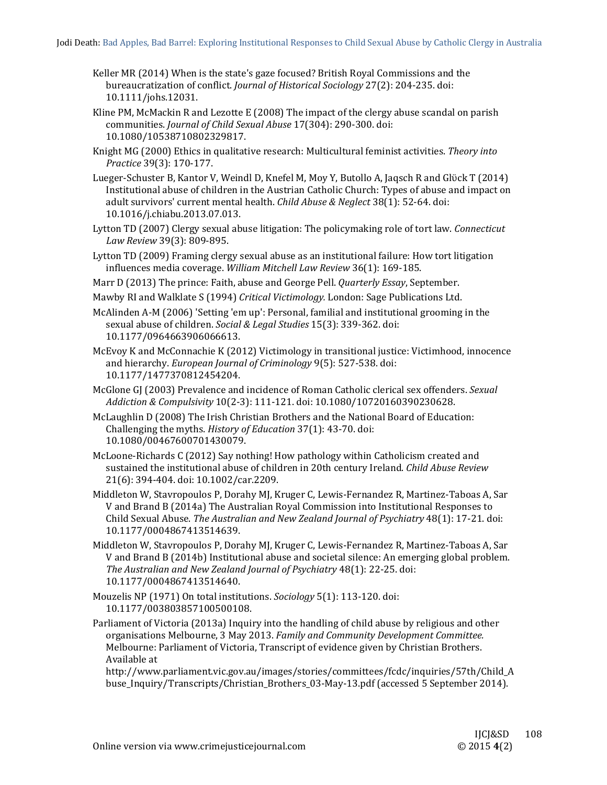- Keller MR  $(2014)$  When is the state's gaze focused? British Royal Commissions and the bureaucratization of conflict. *Journal of Historical Sociology* 27(2): 204-235. doi: 10.1111/johs.12031.
- Kline  $PM$ , McMackin R and Lezotte E (2008) The impact of the clergy abuse scandal on parish communities. *Journal of Child Sexual Abuse* 17(304): 290‐300. doi: 10.1080/10538710802329817.
- Knight MG (2000) Ethics in qualitative research: Multicultural feminist activities. *Theory into Practice* 39(3): 170‐177.
- Lueger-Schuster B, Kantor V, Weindl D, Knefel M, Moy Y, Butollo A, Jagsch R and Glück T (2014) Institutional abuse of children in the Austrian Catholic Church: Types of abuse and impact on adult survivors' current mental health. *Child Abuse & Neglect* 38(1): 52-64. doi: 10.1016/j.chiabu.2013.07.013.
- Lytton TD (2007) Clergy sexual abuse litigation: The policymaking role of tort law. *Connecticut Law Review* 39(3): 809‐895.
- Lytton TD (2009) Framing clergy sexual abuse as an institutional failure: How tort litigation influences media coverage. *William Mitchell Law Review* 36(1): 169‐185.
- Marr D (2013) The prince: Faith, abuse and George Pell. *Quarterly Essay*, September.
- Mawby RI and Walklate S (1994) *Critical Victimology*. London: Sage Publications Ltd.
- McAlinden A-M (2006) 'Setting 'em up': Personal, familial and institutional grooming in the sexual abuse of children. *Social & Legal Studies* 15(3): 339-362. doi: 10.1177/0964663906066613.
- McEvoy K and McConnachie K  $(2012)$  Victimology in transitional justice: Victimhood, innocence and hierarchy. *European Journal of Criminology* 9(5): 527-538. doi: 10.1177/1477370812454204.
- McGlone GJ (2003) Prevalence and incidence of Roman Catholic clerical sex offenders. *Sexual Addiction & Compulsivity* 10(2‐3): 111‐121. doi: 10.1080/10720160390230628.
- McLaughlin D (2008) The Irish Christian Brothers and the National Board of Education: Challenging the myths. *History of Education* 37(1): 43-70. doi: 10.1080/00467600701430079.
- McLoone-Richards C (2012) Say nothing! How pathology within Catholicism created and sustained the institutional abuse of children in 20th century Ireland. *Child Abuse Review* 21(6): 394-404. doi: 10.1002/car.2209.
- Middleton W, Stavropoulos P, Dorahy MJ, Kruger C, Lewis-Fernandez R, Martinez-Taboas A, Sar V and Brand B (2014a) The Australian Royal Commission into Institutional Responses to Child Sexual Abuse. *The Australian and New Zealand Journal of Psychiatry* 48(1): 17‐21. doi: 10.1177/0004867413514639.
- Middleton W, Stavropoulos P, Dorahy MJ, Kruger C, Lewis-Fernandez R, Martinez-Taboas A, Sar V and Brand B (2014b) Institutional abuse and societal silence: An emerging global problem. *The Australian and New Zealand Journal of Psychiatry* 48(1): 22‐25. doi: 10.1177/0004867413514640.
- Mouzelis NP (1971) On total institutions. *Sociology* 5(1): 113-120. doi: 10.1177/003803857100500108.
- Parliament of Victoria (2013a) Inquiry into the handling of child abuse by religious and other organisations Melbourne, 3 May 2013. *Family and Community Development Committee.* Melbourne: Parliament of Victoria, Transcript of evidence given by Christian Brothers. Available at

http://www.parliament.vic.gov.au/images/stories/committees/fcdc/inquiries/57th/Child\_A buse\_Inquiry/Transcripts/Christian\_Brothers\_03-May-13.pdf (accessed 5 September 2014).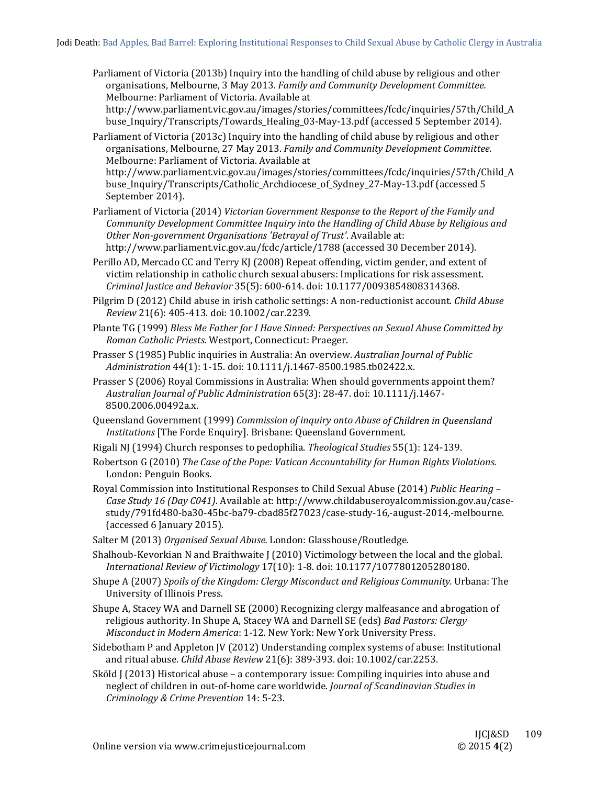Parliament of Victoria (2013b) Inquiry into the handling of child abuse by religious and other organisations, Melbourne, 3 May 2013. *Family and Community Development Committee.* Melbourne: Parliament of Victoria. Available at

http://www.parliament.vic.gov.au/images/stories/committees/fcdc/inquiries/57th/Child\_A buse\_Inquiry/Transcripts/Towards\_Healing\_03-May-13.pdf (accessed 5 September 2014).

Parliament of Victoria (2013c) Inquiry into the handling of child abuse by religious and other organisations, Melbourne, 27 May 2013. *Family and Community Development Committee.* Melbourne: Parliament of Victoria. Available at http://www.parliament.vic.gov.au/images/stories/committees/fcdc/inquiries/57th/Child\_A buse\_Inquiry/Transcripts/Catholic\_Archdiocese\_of\_Sydney\_27-May-13.pdf (accessed 5 September 2014).

Parliament of Victoria (2014) *Victorian Government Response to the Report of the Family and Community Development Committee Inquiry into the Handling of Child Abuse by Religious and Other Non‐government Organisations 'Betrayal of Trust'*. Available at: http://www.parliament.vic.gov.au/fcdc/article/1788 (accessed 30 December 2014).

Perillo AD, Mercado CC and Terry KJ (2008) Repeat offending, victim gender, and extent of victim relationship in catholic church sexual abusers: Implications for risk assessment. *Criminal Justice and Behavior* 35(5): 600‐614. doi: 10.1177/0093854808314368. 

Pilgrim D (2012) Child abuse in irish catholic settings: A non-reductionist account. *Child Abuse Review* 21(6): 405‐413. doi: 10.1002/car.2239. 

Plante TG (1999) *Bless Me Father for I Have Sinned: Perspectives on Sexual Abuse Committed by Roman Catholic Priests.* Westport, Connecticut: Praeger. 

Prasser S (1985) Public inquiries in Australia: An overview. Australian *Journal of Public Administration* 44(1): 1‐15. doi: 10.1111/j.1467‐8500.1985.tb02422.x. 

Prasser S (2006) Royal Commissions in Australia: When should governments appoint them? *Australian Journal of Public Administration* 65(3): 28‐47. doi: 10.1111/j.1467‐ 8500.2006.00492a.x. 

Queensland Government (1999) *Commission of inquiry onto Abuse of Children in Queensland Institutions* [The Forde Enquiry]. Brisbane: Queensland Government.

Rigali NJ (1994) Church responses to pedophilia. *Theological Studies* 55(1): 124-139.

Robertson G (2010) *The Case of the Pope: Vatican Accountability for Human Rights Violations.* London: Penguin Books.

Royal Commission into Institutional Responses to Child Sexual Abuse (2014) *Public Hearing -Case Study 16 (Day C041)*. Available at: http://www.childabuseroyalcommission.gov.au/case‐ study/791fd480‐ba30‐45bc‐ba79‐cbad85f27023/case‐study‐16,‐august‐2014,‐melbourne. (accessed 6 January 2015).

Salter M (2013) Organised Sexual Abuse. London: Glasshouse/Routledge.

Shalhoub-Kevorkian N and Braithwaite  $\int$  (2010) Victimology between the local and the global. *International Review of Victimology* 17(10): 1‐8. doi: 10.1177/1077801205280180. 

Shupe A (2007) *Spoils of the Kingdom: Clergy Misconduct and Religious Community.* Urbana: The University of Illinois Press.

Shupe A, Stacey WA and Darnell SE (2000) Recognizing clergy malfeasance and abrogation of religious authority. In Shupe A, Stacey WA and Darnell SE (eds) *Bad Pastors: Clergy Misconduct in Modern America*: 1‐12*.* New York: New York University Press. 

Sidebotham P and Appleton JV (2012) Understanding complex systems of abuse: Institutional and ritual abuse. *Child Abuse Review* 21(6): 389-393. doi: 10.1002/car.2253.

Sköld J (2013) Historical abuse - a contemporary issue: Compiling inquiries into abuse and neglect of children in out‐of‐home care worldwide. *Journal of Scandinavian Studies in Criminology & Crime Prevention* 14: 5‐23.